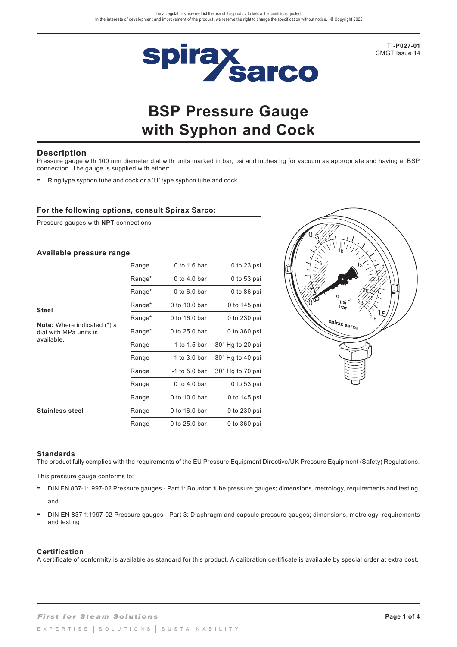

**TI-P027-01** CMGT Issue 14

# **BSP Pressure Gauge with Syphon and Cock**

## **Description**

Pressure gauge with 100 mm diameter dial with units marked in bar, psi and inches hg for vacuum as appropriate and having a BSP connection. The gauge is supplied with either:

**-** Ring type syphon tube and cock or a 'U' type syphon tube and cock.

### **For the following options, consult Spirax Sarco:**

Pressure gauges with **NPT** connections.

# **Available pressure range**

|                                                              | Range  | 0 to 1.6 bar    | 0 to 23 psi      |
|--------------------------------------------------------------|--------|-----------------|------------------|
|                                                              | Range* | 0 to 4.0 bar    | 0 to 53 psi      |
|                                                              | Range* | 0 to $6.0$ bar  | $0$ to $86$ psi  |
| Steel                                                        | Range* | 0 to 10.0 bar   | 0 to 145 psi     |
|                                                              | Range* | 0 to 16.0 bar   | 0 to 230 psi     |
| <b>Note:</b> Where indicated (*) a<br>dial with MPa units is | Range* | 0 to 25.0 bar   | 0 to 360 psi     |
| available.                                                   | Range  | $-1$ to 1.5 bar | 30" Hg to 20 psi |
|                                                              | Range  | -1 to 3.0 bar   | 30" Hg to 40 psi |
|                                                              | Range  | -1 to 5.0 bar   | 30" Hg to 70 psi |
|                                                              | Range  | 0 to 4.0 bar    | $0$ to 53 psi    |
|                                                              | Range  | 0 to 10.0 bar   | 0 to 145 psi     |
| <b>Stainless steel</b>                                       | Range  | 0 to 16.0 bar   | 0 to 230 psi     |
|                                                              | Range  | 0 to 25.0 bar   | 0 to 360 psi     |



### **Standards**

The product fully complies with the requirements of the EU Pressure Equipment Directive/UK Pressure Equipment (Safety) Regulations.

This pressure gauge conforms to:

- DIN EN 837-1:1997-02 Pressure gauges Part 1: Bourdon tube pressure gauges; dimensions, metrology, requirements and testing, and
- DIN EN 837-1:1997-02 Pressure gauges Part 3: Diaphragm and capsule pressure gauges; dimensions, metrology, requirements and testing

#### **Certification**

A certificate of conformity is available as standard for this product. A calibration certificate is available by special order at extra cost.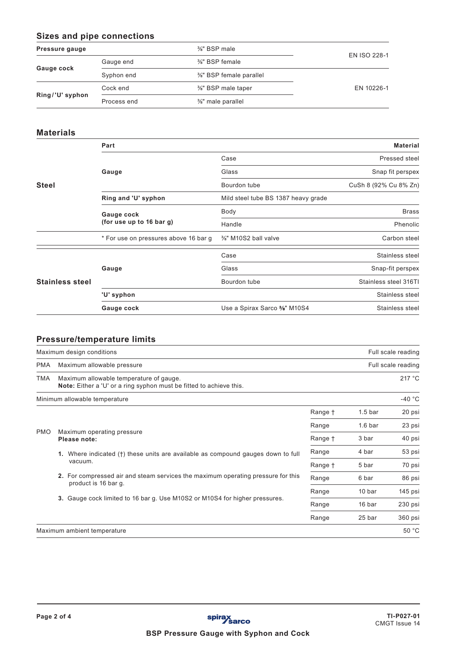# **Sizes and pipe connections**

| Pressure gauge  | $\frac{3}{8}$ " BSP male |                        |                     |
|-----------------|--------------------------|------------------------|---------------------|
|                 | Gauge end                | %" BSP female          | <b>EN ISO 228-1</b> |
| Gauge cock      | Syphon end               | %" BSP female parallel |                     |
| Ring/'U' syphon | Cock end                 | %" BSP male taper      | EN 10226-1          |
|                 | Process end              | %" male parallel       |                     |
|                 |                          |                        |                     |

# **Materials**

|                        | Part<br><b>Material</b>               |                                     |                                   |  |  |  |
|------------------------|---------------------------------------|-------------------------------------|-----------------------------------|--|--|--|
|                        |                                       | Case                                | Pressed steel<br>Snap fit perspex |  |  |  |
|                        | Gauge                                 | Glass                               |                                   |  |  |  |
| <b>Steel</b>           |                                       | Bourdon tube                        | CuSh 8 (92% Cu 8% Zn)             |  |  |  |
|                        | Ring and 'U' syphon                   | Mild steel tube BS 1387 heavy grade |                                   |  |  |  |
|                        | Gauge cock                            | Body                                | <b>Brass</b>                      |  |  |  |
|                        | (for use up to 16 bar g)              | Handle                              | Phenolic                          |  |  |  |
|                        | * For use on pressures above 16 bar g | %" M10S2 ball valve                 | Carbon steel                      |  |  |  |
|                        |                                       | Case                                | Stainless steel                   |  |  |  |
|                        | Gauge                                 | Glass                               | Snap-fit perspex                  |  |  |  |
| <b>Stainless steel</b> |                                       | Bourdon tube                        | Stainless steel 316TI             |  |  |  |
|                        | 'U' syphon                            |                                     | Stainless steel                   |  |  |  |
|                        | Gauge cock                            | Use a Spirax Sarco %" M10S4         | Stainless steel                   |  |  |  |

# **Pressure/temperature limits**

|                                                          | Maximum design conditions                                                                                      |         |                    | Full scale reading |
|----------------------------------------------------------|----------------------------------------------------------------------------------------------------------------|---------|--------------------|--------------------|
| <b>PMA</b>                                               | Maximum allowable pressure                                                                                     |         |                    | Full scale reading |
| TMA                                                      | Maximum allowable temperature of gauge.<br>Note: Either a 'U' or a ring syphon must be fitted to achieve this. |         |                    | 217 °C             |
|                                                          | Minimum allowable temperature                                                                                  |         |                    | $-40 °C$           |
|                                                          |                                                                                                                | Range † | 1.5 <sub>bar</sub> | 20 psi             |
|                                                          |                                                                                                                | Range   | 1.6 <sub>bar</sub> | 23 psi             |
| <b>PMO</b><br>Maximum operating pressure<br>Please note: |                                                                                                                | Range † | 3 bar              | 40 psi             |
| vacuum.                                                  | 1. Where indicated (†) these units are available as compound gauges down to full                               | Range   | 4 bar              | 53 psi             |
|                                                          |                                                                                                                | Range + | 5 bar              | 70 psi             |
|                                                          | 2. For compressed air and steam services the maximum operating pressure for this<br>product is 16 bar q.       | Range   | 6 bar              | 86 psi             |
|                                                          |                                                                                                                | Range   | 10 bar             | 145 psi            |
|                                                          | 3. Gauge cock limited to 16 bar g. Use M10S2 or M10S4 for higher pressures.                                    | Range   | 16 bar             | 230 psi            |
|                                                          |                                                                                                                |         | 25 bar             | 360 psi            |
|                                                          | Maximum ambient temperature                                                                                    |         |                    | 50 °C              |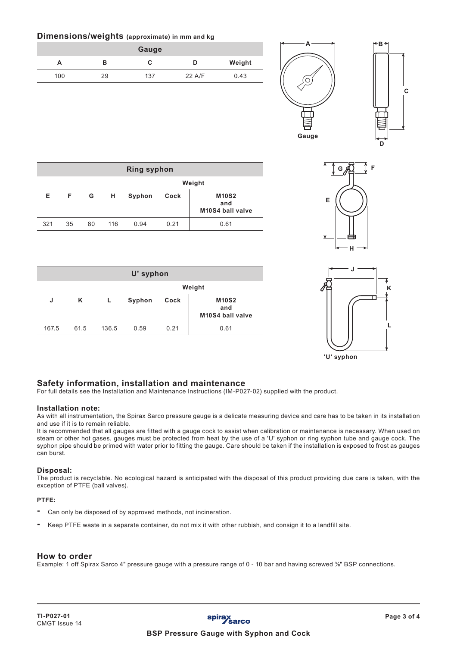# **Dimensions/weights (approximate) in mm and kg**

|     |    | Gauge |        |        |
|-----|----|-------|--------|--------|
| A   | в  | U     | D      | Weight |
| 100 | 29 | 137   | 22 A/F | 0.43   |



**C**



|            | ۸<br>K |
|------------|--------|
|            |        |
|            |        |
|            |        |
| 'U' syphon |        |

| <b>Ring syphon</b> |    |    |     |        |      |                                         |
|--------------------|----|----|-----|--------|------|-----------------------------------------|
|                    |    |    |     |        |      | Weight                                  |
| Е                  | F. | G  | н   | Syphon | Cock | <b>M10S2</b><br>and<br>M10S4 ball valve |
| 321                | 35 | 80 | 116 | 0.94   | 0.21 | 0.61                                    |

| U' syphon |      |       |        |      |                                         |  |
|-----------|------|-------|--------|------|-----------------------------------------|--|
|           |      |       | Weight |      |                                         |  |
| J         | Κ    |       | Syphon | Cock | <b>M10S2</b><br>and<br>M10S4 ball valve |  |
| 167.5     | 61.5 | 136.5 | 0.59   | 0.21 | 0.61                                    |  |

# **Safety information, installation and maintenance**

For full details see the Installation and Maintenance Instructions (IM-P027-02) supplied with the product.

### **Installation note:**

As with all instrumentation, the Spirax Sarco pressure gauge is a delicate measuring device and care has to be taken in its installation and use if it is to remain reliable.

It is recommended that all gauges are fitted with a gauge cock to assist when calibration or maintenance is necessary. When used on steam or other hot gases, gauges must be protected from heat by the use of a 'U' syphon or ring syphon tube and gauge cock. The syphon pipe should be primed with water prior to fitting the gauge. Care should be taken if the installation is exposed to frost as gauges can burst.

### **Disposal:**

The product is recyclable. No ecological hazard is anticipated with the disposal of this product providing due care is taken, with the exception of PTFE (ball valves).

#### **PTFE:**

- Can only be disposed of by approved methods, not incineration.
- Keep PTFE waste in a separate container, do not mix it with other rubbish, and consign it to a landfill site.

#### **How to order**

Example: 1 off Spirax Sarco 4" pressure gauge with a pressure range of 0 - 10 bar and having screwed %" BSP connections.